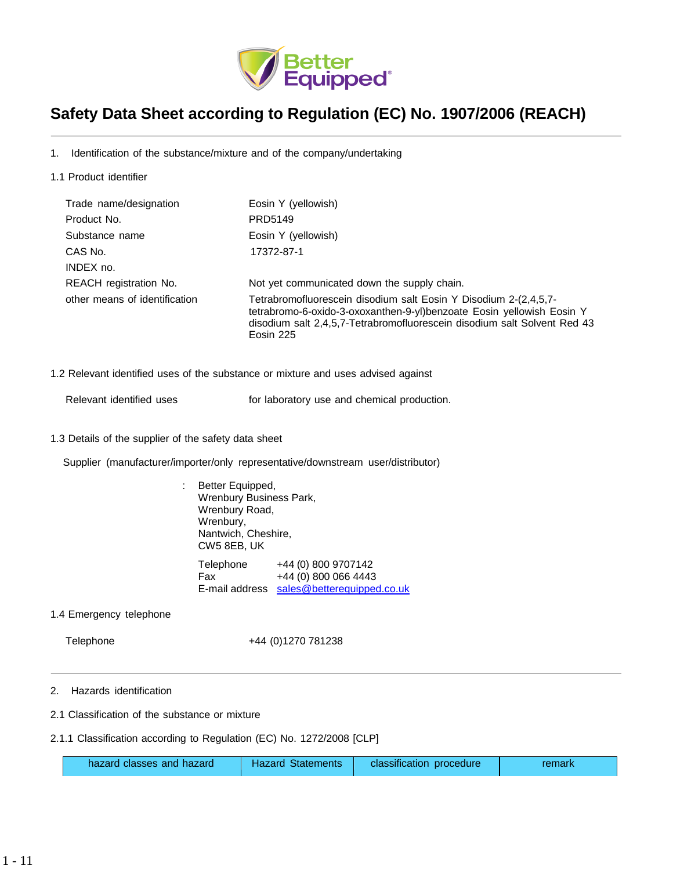

# **Safety Data Sheet according to Regulation (EC) No. 1907/2006 (REACH)**

1. Identification of the substance/mixture and of the company/undertaking

1.1 Product identifier

| Trade name/designation        | Eosin Y (yellowish)                                                                                                                                                                                                                |
|-------------------------------|------------------------------------------------------------------------------------------------------------------------------------------------------------------------------------------------------------------------------------|
| Product No.                   | PRD5149                                                                                                                                                                                                                            |
| Substance name                | Eosin Y (yellowish)                                                                                                                                                                                                                |
| CAS No.                       | 17372-87-1                                                                                                                                                                                                                         |
| INDEX no.                     |                                                                                                                                                                                                                                    |
| REACH registration No.        | Not yet communicated down the supply chain.                                                                                                                                                                                        |
| other means of identification | Tetrabromofluorescein disodium salt Eosin Y Disodium 2-(2,4,5,7-<br>tetrabromo-6-oxido-3-oxoxanthen-9-yl)benzoate Eosin yellowish Eosin Y<br>disodium salt 2,4,5,7-Tetrabromofluorescein disodium salt Solvent Red 43<br>Eosin 225 |

1.2 Relevant identified uses of the substance or mixture and uses advised against

Relevant identified uses **For laboratory use and chemical production.** 

1.3 Details of the supplier of the safety data sheet

Supplier (manufacturer/importer/only representative/downstream user/distributor)

: Better Equipped, Wrenbury Business Park, Wrenbury Road, Wrenbury, Nantwich, Cheshire, CW5 8EB, UK Telephone +44 (0) 800 9707142 Fax +44 (0) 800 066 4443 E-mail address [sales@betterequipped.co.uk](mailto:sales@betterequipped.co.uk)

1.4 Emergency telephone

Telephone +44 (0)1270 781238

- 2. Hazards identification
- 2.1 Classification of the substance or mixture
- 2.1.1 Classification according to Regulation (EC) No. 1272/2008 [CLP]

| hazard classes and hazard | <b>Hazard Statements</b> | classification procedure | remark |
|---------------------------|--------------------------|--------------------------|--------|
|---------------------------|--------------------------|--------------------------|--------|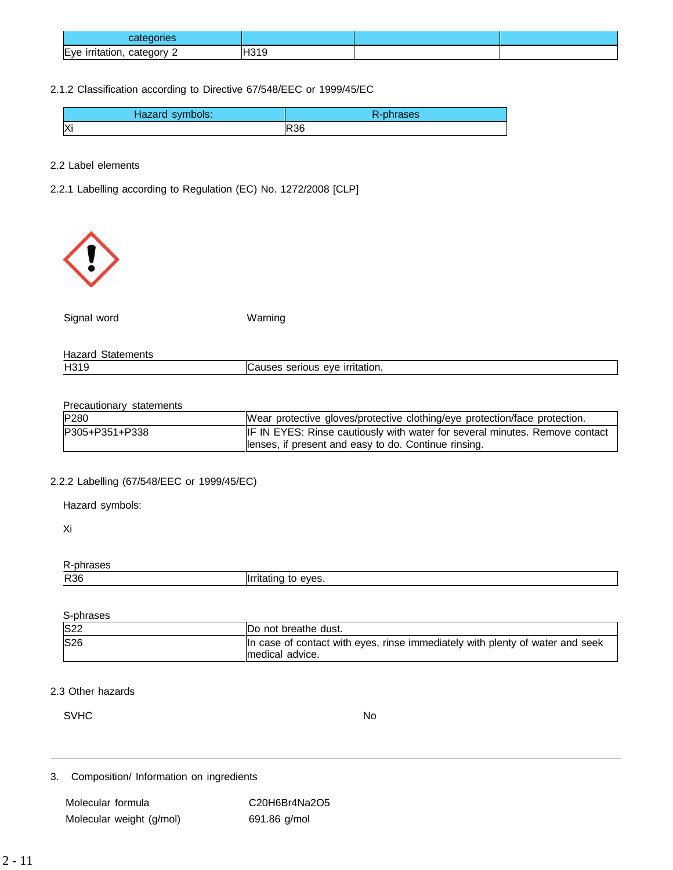| categories                            |           |  |
|---------------------------------------|-----------|--|
| —<br>category<br>Eve irritation,<br>- | പറ+ല<br>I |  |

# 2.1.2 Classification according to Directive 67/548/EEC or 1999/45/EC

| Hazard symbols: | R-phrases  |
|-----------------|------------|
| ΙXί             | <b>R36</b> |

2.2 Label elements

2.2.1 Labelling according to Regulation (EC) No. 1272/2008 [CLP]



Signal word Warning

| Hazard<br>Statements |                                             |
|----------------------|---------------------------------------------|
| H319                 | eve irritation.<br>serious<br><b>Jauses</b> |

# Precautionary statements

| P280           | Wear protective gloves/protective clothing/eye protection/face protection.  |
|----------------|-----------------------------------------------------------------------------|
| P305+P351+P338 | IF IN EYES: Rinse cautiously with water for several minutes. Remove contact |
|                | lenses, if present and easy to do. Continue rinsing.                        |

# 2.2.2 Labelling (67/548/EEC or 1999/45/EC)

Hazard symbols:

Xi

R-phrases

|  | R36<br>liri | eves<br>- 11111111 |
|--|-------------|--------------------|
|--|-------------|--------------------|

S-phrases

| <b>S22</b> | IDo not breathe dust.                                                                            |
|------------|--------------------------------------------------------------------------------------------------|
| <b>S26</b> | In case of contact with eyes, rinse immediately with plenty of water and seek<br>medical advice. |

# 2.3 Other hazards

SVHC No. 2006. In the set of the set of the set of the set of the set of the set of the set of the set of the set of the set of the set of the set of the set of the set of the set of the set of the set of the set of the se

3. Composition/ Information on ingredients

Molecular formula C20H6Br4Na2O5 Molecular weight (g/mol) 691.86 g/mol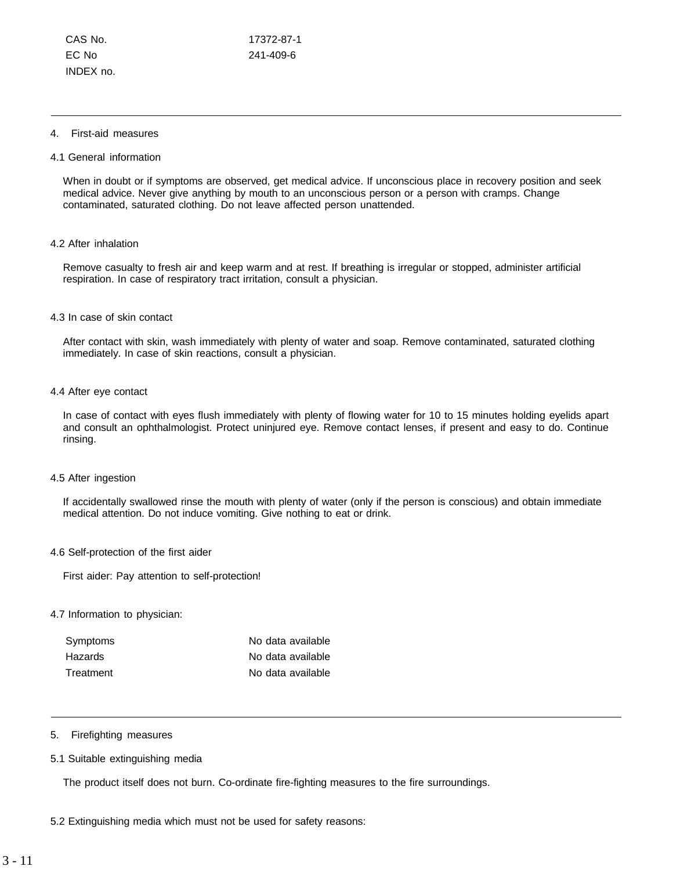## 4. First-aid measures

## 4.1 General information

When in doubt or if symptoms are observed, get medical advice. If unconscious place in recovery position and seek medical advice. Never give anything by mouth to an unconscious person or a person with cramps. Change contaminated, saturated clothing. Do not leave affected person unattended.

#### 4.2 After inhalation

Remove casualty to fresh air and keep warm and at rest. If breathing is irregular or stopped, administer artificial respiration. In case of respiratory tract irritation, consult a physician.

#### 4.3 In case of skin contact

After contact with skin, wash immediately with plenty of water and soap. Remove contaminated, saturated clothing immediately. In case of skin reactions, consult a physician.

## 4.4 After eye contact

In case of contact with eyes flush immediately with plenty of flowing water for 10 to 15 minutes holding eyelids apart and consult an ophthalmologist. Protect uninjured eye. Remove contact lenses, if present and easy to do. Continue rinsing.

#### 4.5 After ingestion

If accidentally swallowed rinse the mouth with plenty of water (only if the person is conscious) and obtain immediate medical attention. Do not induce vomiting. Give nothing to eat or drink.

## 4.6 Self-protection of the first aider

First aider: Pay attention to self-protection!

## 4.7 Information to physician:

| Symptoms  | No data available |
|-----------|-------------------|
| Hazards   | No data available |
| Treatment | No data available |

## 5. Firefighting measures

#### 5.1 Suitable extinguishing media

The product itself does not burn. Co-ordinate fire-fighting measures to the fire surroundings.

## 5.2 Extinguishing media which must not be used for safety reasons: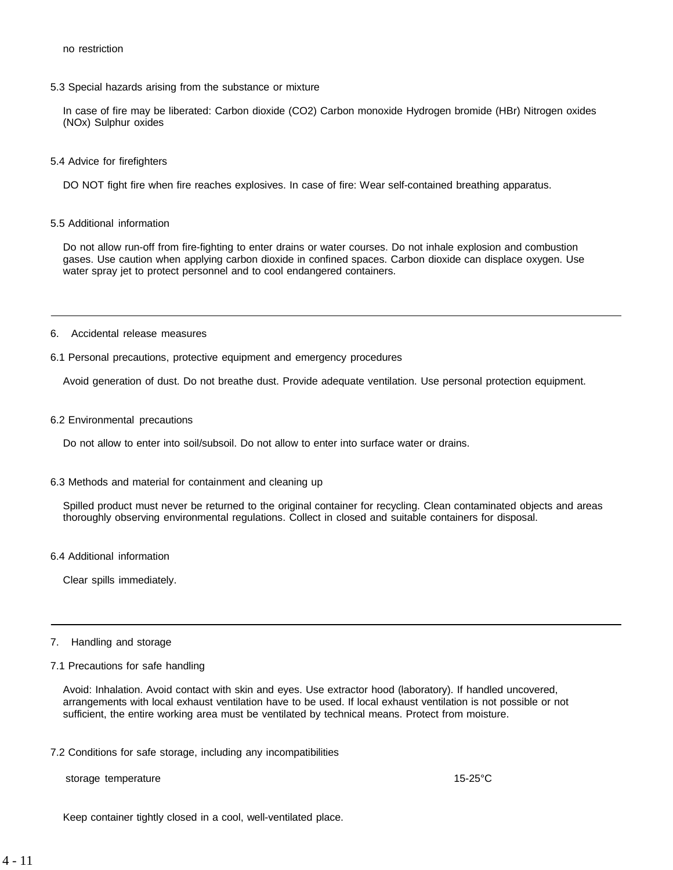5.3 Special hazards arising from the substance or mixture

In case of fire may be liberated: Carbon dioxide (CO2) Carbon monoxide Hydrogen bromide (HBr) Nitrogen oxides (NOx) Sulphur oxides

5.4 Advice for firefighters

DO NOT fight fire when fire reaches explosives. In case of fire: Wear self-contained breathing apparatus.

5.5 Additional information

Do not allow run-off from fire-fighting to enter drains or water courses. Do not inhale explosion and combustion gases. Use caution when applying carbon dioxide in confined spaces. Carbon dioxide can displace oxygen. Use water spray jet to protect personnel and to cool endangered containers.

- 6. Accidental release measures
- 6.1 Personal precautions, protective equipment and emergency procedures

Avoid generation of dust. Do not breathe dust. Provide adequate ventilation. Use personal protection equipment.

6.2 Environmental precautions

Do not allow to enter into soil/subsoil. Do not allow to enter into surface water or drains.

6.3 Methods and material for containment and cleaning up

Spilled product must never be returned to the original container for recycling. Clean contaminated objects and areas thoroughly observing environmental regulations. Collect in closed and suitable containers for disposal.

6.4 Additional information

Clear spills immediately.

#### 7. Handling and storage

7.1 Precautions for safe handling

Avoid: Inhalation. Avoid contact with skin and eyes. Use extractor hood (laboratory). If handled uncovered, arrangements with local exhaust ventilation have to be used. If local exhaust ventilation is not possible or not sufficient, the entire working area must be ventilated by technical means. Protect from moisture.

7.2 Conditions for safe storage, including any incompatibilities

storage temperature 15-25°C

Keep container tightly closed in a cool, well-ventilated place.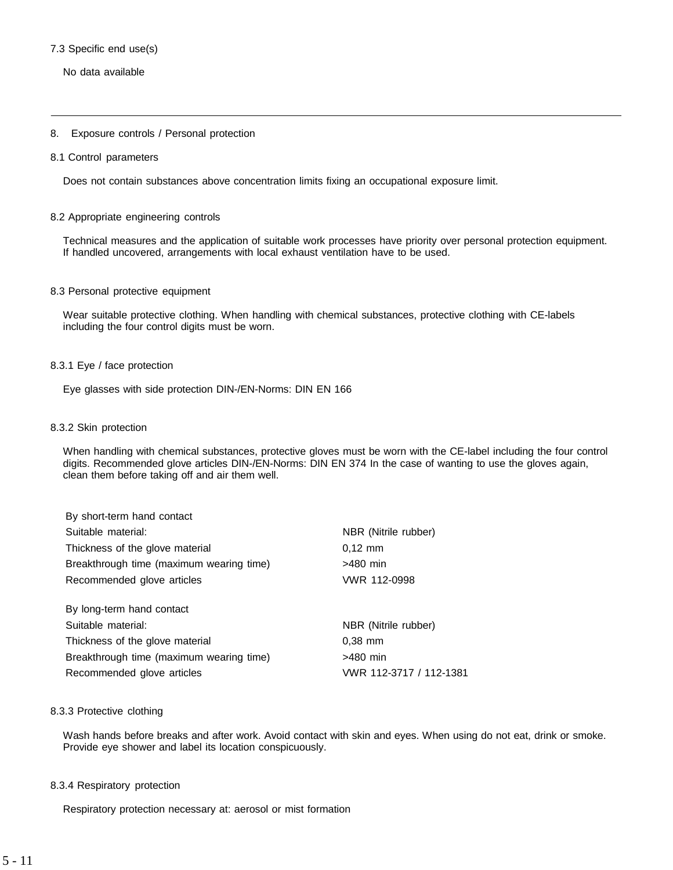## 7.3 Specific end use(s)

No data available

## 8. Exposure controls / Personal protection

#### 8.1 Control parameters

Does not contain substances above concentration limits fixing an occupational exposure limit.

## 8.2 Appropriate engineering controls

Technical measures and the application of suitable work processes have priority over personal protection equipment. If handled uncovered, arrangements with local exhaust ventilation have to be used.

#### 8.3 Personal protective equipment

Wear suitable protective clothing. When handling with chemical substances, protective clothing with CE-labels including the four control digits must be worn.

## 8.3.1 Eye / face protection

Eye glasses with side protection DIN-/EN-Norms: DIN EN 166

#### 8.3.2 Skin protection

When handling with chemical substances, protective gloves must be worn with the CE-label including the four control digits. Recommended glove articles DIN-/EN-Norms: DIN EN 374 In the case of wanting to use the gloves again, clean them before taking off and air them well.

| By short-term hand contact               |                         |
|------------------------------------------|-------------------------|
| Suitable material:                       | NBR (Nitrile rubber)    |
| Thickness of the glove material          | $0.12 \, \text{mm}$     |
| Breakthrough time (maximum wearing time) | >480 min                |
| Recommended glove articles               | VWR 112-0998            |
| By long-term hand contact                |                         |
| Suitable material:                       | NBR (Nitrile rubber)    |
| Thickness of the glove material          | $0.38$ mm               |
| Breakthrough time (maximum wearing time) | $>480$ min              |
| Recommended glove articles               | VWR 112-3717 / 112-1381 |

#### 8.3.3 Protective clothing

Wash hands before breaks and after work. Avoid contact with skin and eyes. When using do not eat, drink or smoke. Provide eye shower and label its location conspicuously.

#### 8.3.4 Respiratory protection

Respiratory protection necessary at: aerosol or mist formation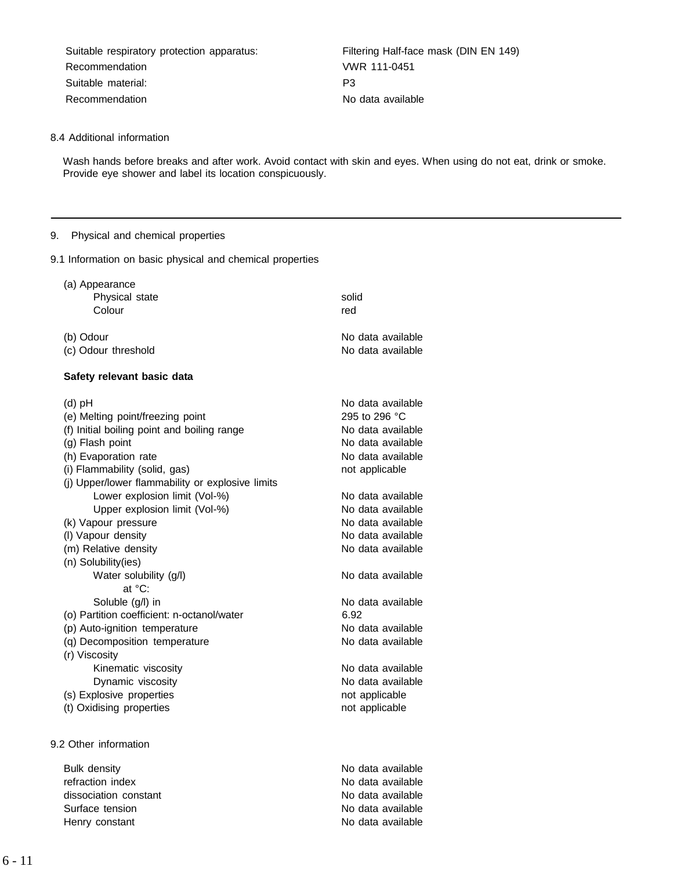Suitable respiratory protection apparatus: Filtering Half-face mask (DIN EN 149) Recommendation VWR 111-0451 Suitable material: P3 Recommendation No data available

# 8.4 Additional information

Wash hands before breaks and after work. Avoid contact with skin and eyes. When using do not eat, drink or smoke. Provide eye shower and label its location conspicuously.

# 9. Physical and chemical properties

9.1 Information on basic physical and chemical properties

| (a) Appearance                                   |                   |
|--------------------------------------------------|-------------------|
| Physical state                                   | solid             |
| Colour                                           | red               |
| (b) Odour                                        | No data available |
| (c) Odour threshold                              | No data available |
| Safety relevant basic data                       |                   |
| $(d)$ pH                                         | No data available |
| (e) Melting point/freezing point                 | 295 to 296 °C     |
| (f) Initial boiling point and boiling range      | No data available |
| (g) Flash point                                  | No data available |
| (h) Evaporation rate                             | No data available |
| (i) Flammability (solid, gas)                    | not applicable    |
| (j) Upper/lower flammability or explosive limits |                   |
| Lower explosion limit (Vol-%)                    | No data available |
| Upper explosion limit (Vol-%)                    | No data available |
| (k) Vapour pressure                              | No data available |
| (I) Vapour density                               | No data available |
| (m) Relative density                             | No data available |
| (n) Solubility(ies)                              |                   |
| Water solubility (g/l)                           | No data available |
| at °C:                                           |                   |
| Soluble (g/l) in                                 | No data available |
| (o) Partition coefficient: n-octanol/water       | 6.92              |
| (p) Auto-ignition temperature                    | No data available |
| (q) Decomposition temperature                    | No data available |
| (r) Viscosity                                    |                   |
| Kinematic viscosity                              | No data available |
| Dynamic viscosity                                | No data available |
| (s) Explosive properties                         | not applicable    |
| (t) Oxidising properties                         | not applicable    |
| 9.2 Other information                            |                   |
| <b>Bulk density</b>                              | No data available |
| refraction index                                 | No data available |

dissociation constant and available constant and available constant and available Surface tension and a set of the Surface tension and available number of the No data available Henry constant **No data available**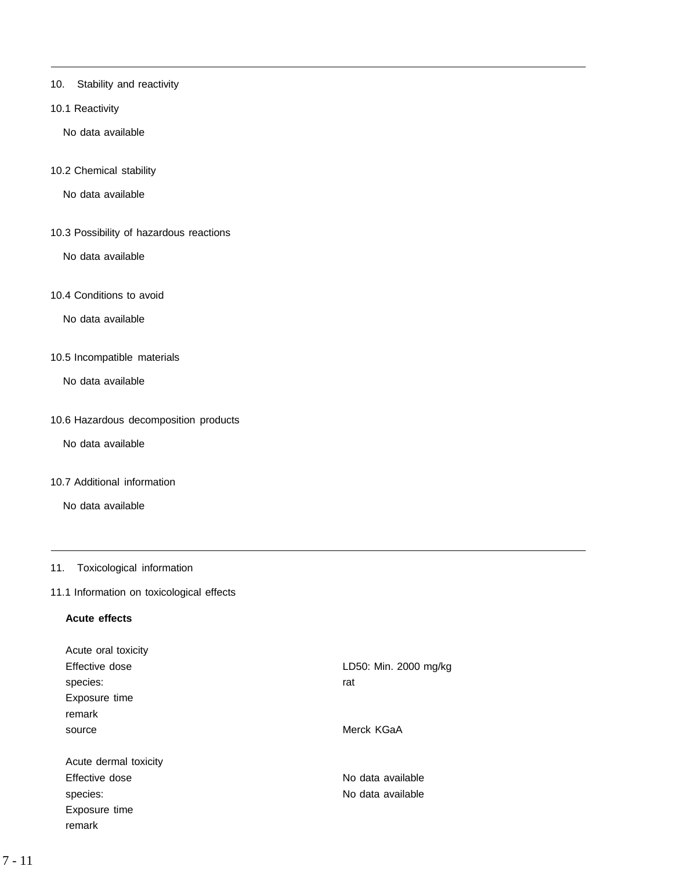- 10. Stability and reactivity
- 10.1 Reactivity

No data available

10.2 Chemical stability

No data available

10.3 Possibility of hazardous reactions

No data available

10.4 Conditions to avoid

No data available

10.5 Incompatible materials

No data available

10.6 Hazardous decomposition products

No data available

10.7 Additional information

No data available

# 11. Toxicological information

# 11.1 Information on toxicological effects

# **Acute effects**

| Acute oral toxicity   |                       |
|-----------------------|-----------------------|
| Effective dose        | LD50: Min. 2000 mg/kg |
| species:              | rat                   |
| Exposure time         |                       |
| remark                |                       |
| source                | Merck KGaA            |
|                       |                       |
| Acute dermal toxicity |                       |
| Effective dose        | No data available     |
| species:              | No data available     |
| Exposure time         |                       |
| remark                |                       |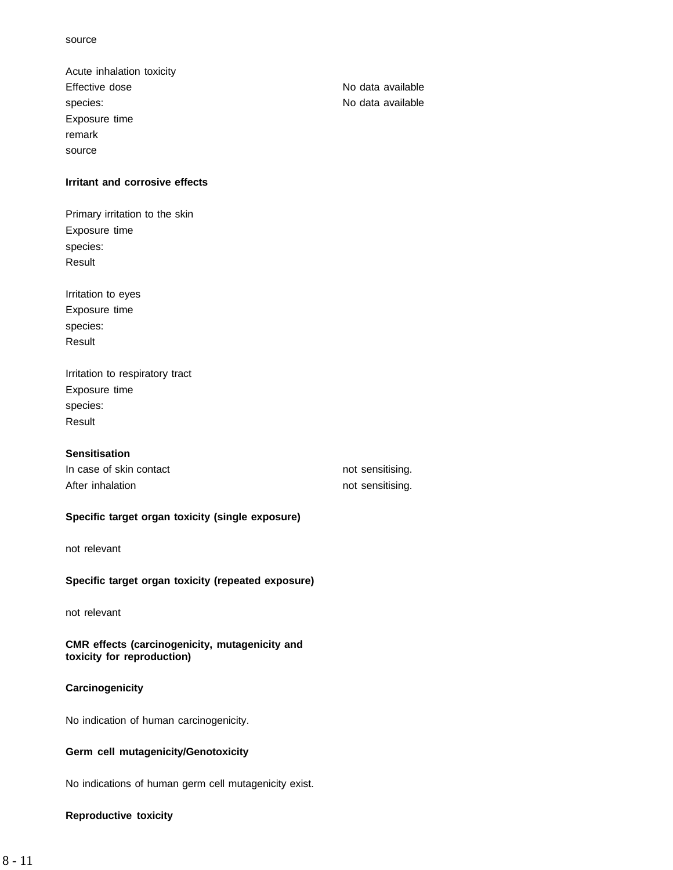Acute inhalation toxicity Effective dose No data available species: No data available Exposure time remark source

# **Irritant and corrosive effects**

Primary irritation to the skin Exposure time species: Result

Irritation to eyes Exposure time species: Result

Irritation to respiratory tract Exposure time species: Result

# **Sensitisation**

| In case of skin contact | not sensitising. |
|-------------------------|------------------|
| After inhalation        | not sensitising. |

# **Specific target organ toxicity (single exposure)**

not relevant

# **Specific target organ toxicity (repeated exposure)**

not relevant

**CMR effects (carcinogenicity, mutagenicity and toxicity for reproduction)**

# **Carcinogenicity**

No indication of human carcinogenicity.

# **Germ cell mutagenicity/Genotoxicity**

No indications of human germ cell mutagenicity exist.

# **Reproductive toxicity**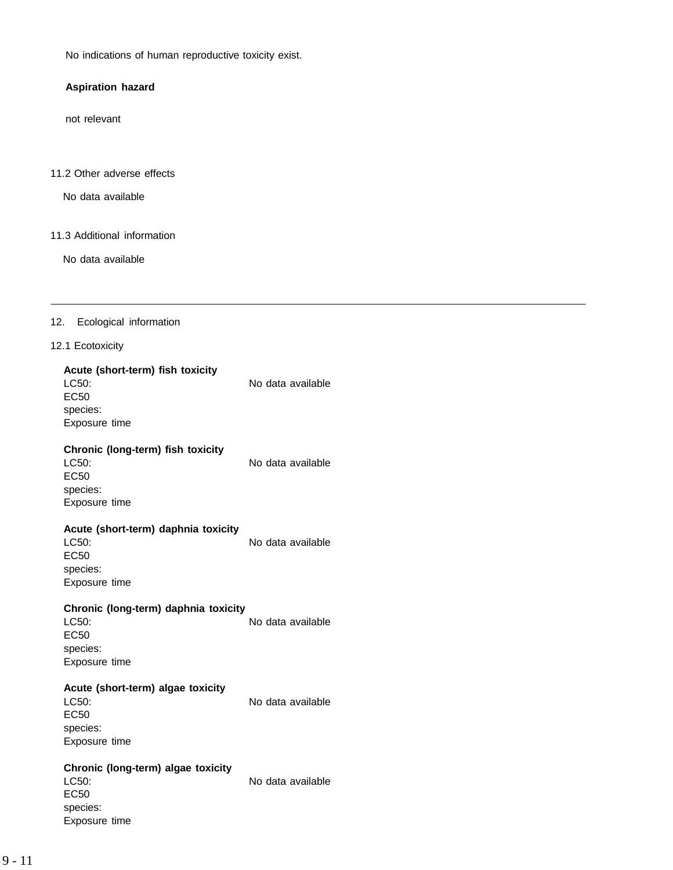No indications of human reproductive toxicity exist.

# **Aspiration hazard**

not relevant

# 11.2 Other adverse effects

No data available

# 11.3 Additional information

No data available

# 12. Ecological information

# 12.1 Ecotoxicity

| Acute (short-term) fish toxicity<br>LC50:<br><b>EC50</b><br>species:<br>Exposure time     | No data available |
|-------------------------------------------------------------------------------------------|-------------------|
| Chronic (long-term) fish toxicity<br>LC50:<br><b>EC50</b><br>species:<br>Exposure time    | No data available |
| Acute (short-term) daphnia toxicity<br>LC50:<br><b>EC50</b><br>species:<br>Exposure time  | No data available |
| Chronic (long-term) daphnia toxicity<br>LC50:<br><b>EC50</b><br>species:<br>Exposure time | No data available |
| Acute (short-term) algae toxicity<br>LC50:<br><b>EC50</b><br>species:<br>Exposure time    | No data available |
| Chronic (long-term) algae toxicity<br>LC50:<br><b>EC50</b><br>species:<br>Exposure time   | No data available |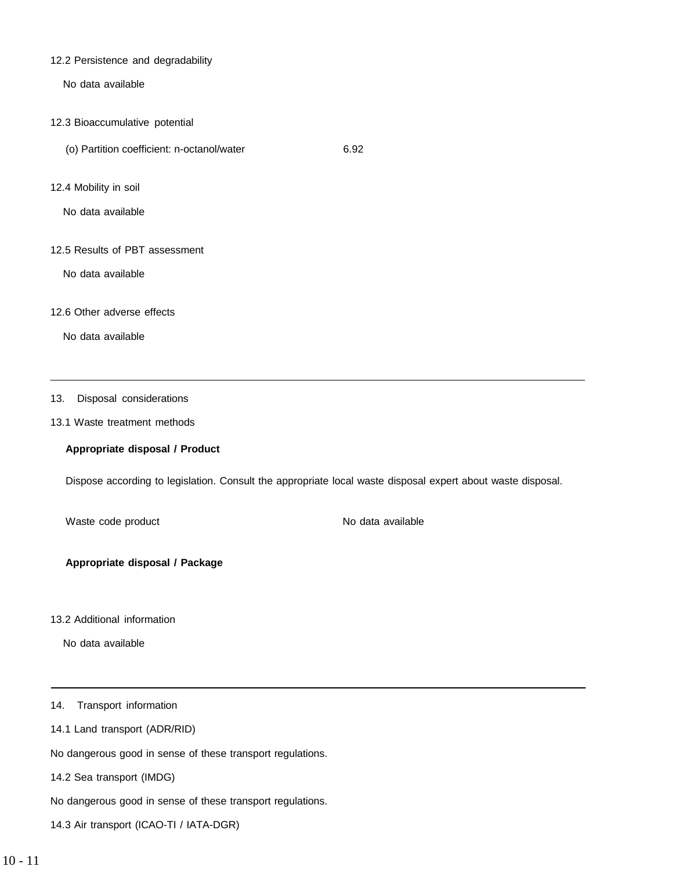# 12.2 Persistence and degradability

No data available

- 12.3 Bioaccumulative potential
	- (o) Partition coefficient: n-octanol/water 6.92
- 12.4 Mobility in soil

No data available

12.5 Results of PBT assessment

No data available

12.6 Other adverse effects

No data available

13. Disposal considerations

# 13.1 Waste treatment methods

# **Appropriate disposal / Product**

Dispose according to legislation. Consult the appropriate local waste disposal expert about waste disposal.

Waste code product No data available

**Appropriate disposal / Package**

13.2 Additional information

No data available

14. Transport information

14.1 Land transport (ADR/RID)

No dangerous good in sense of these transport regulations.

14.2 Sea transport (IMDG)

No dangerous good in sense of these transport regulations.

14.3 Air transport (ICAO-TI / IATA-DGR)